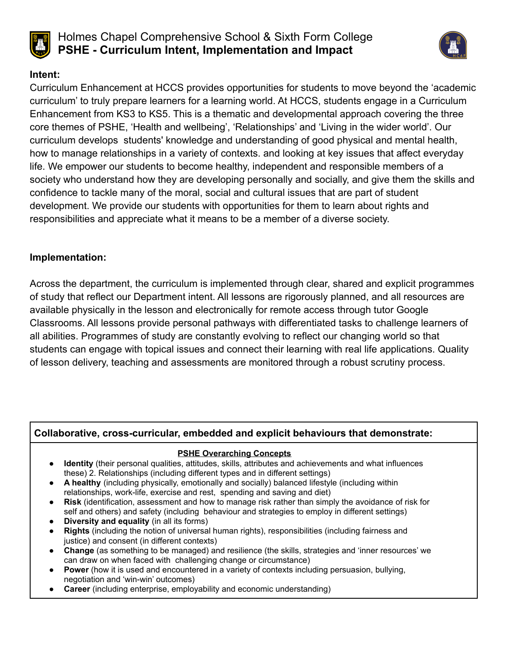

# Holmes Chapel Comprehensive School & Sixth Form College **PSHE - Curriculum Intent, Implementation and Impact**



## **Intent:**

Curriculum Enhancement at HCCS provides opportunities for students to move beyond the 'academic curriculum' to truly prepare learners for a learning world. At HCCS, students engage in a Curriculum Enhancement from KS3 to KS5. This is a thematic and developmental approach covering the three core themes of PSHE, 'Health and wellbeing', 'Relationships' and 'Living in the wider world'. Our curriculum develops students' knowledge and understanding of good physical and mental health, how to manage relationships in a variety of contexts. and looking at key issues that affect everyday life. We empower our students to become healthy, independent and responsible members of a society who understand how they are developing personally and socially, and give them the skills and confidence to tackle many of the moral, social and cultural issues that are part of student development. We provide our students with opportunities for them to learn about rights and responsibilities and appreciate what it means to be a member of a diverse society.

## **Implementation:**

Across the department, the curriculum is implemented through clear, shared and explicit programmes of study that reflect our Department intent. All lessons are rigorously planned, and all resources are available physically in the lesson and electronically for remote access through tutor Google Classrooms. All lessons provide personal pathways with differentiated tasks to challenge learners of all abilities. Programmes of study are constantly evolving to reflect our changing world so that students can engage with topical issues and connect their learning with real life applications. Quality of lesson delivery, teaching and assessments are monitored through a robust scrutiny process.

#### **Collaborative, cross-curricular, embedded and explicit behaviours that demonstrate:**

#### **PSHE Overarching Concepts**

- **Identity** (their personal qualities, attitudes, skills, attributes and achievements and what influences these) 2. Relationships (including different types and in different settings)
- **A healthy** (including physically, emotionally and socially) balanced lifestyle (including within relationships, work-life, exercise and rest, spending and saving and diet)
- **Risk** (identification, assessment and how to manage risk rather than simply the avoidance of risk for self and others) and safety (including behaviour and strategies to employ in different settings)
- **Diversity and equality** (in all its forms)
- **Rights** (including the notion of universal human rights), responsibilities (including fairness and justice) and consent (in different contexts)
- **Change** (as something to be managed) and resilience (the skills, strategies and 'inner resources' we can draw on when faced with challenging change or circumstance)
- **Power** (how it is used and encountered in a variety of contexts including persuasion, bullying, negotiation and 'win-win' outcomes)
- **Career** (including enterprise, employability and economic understanding)